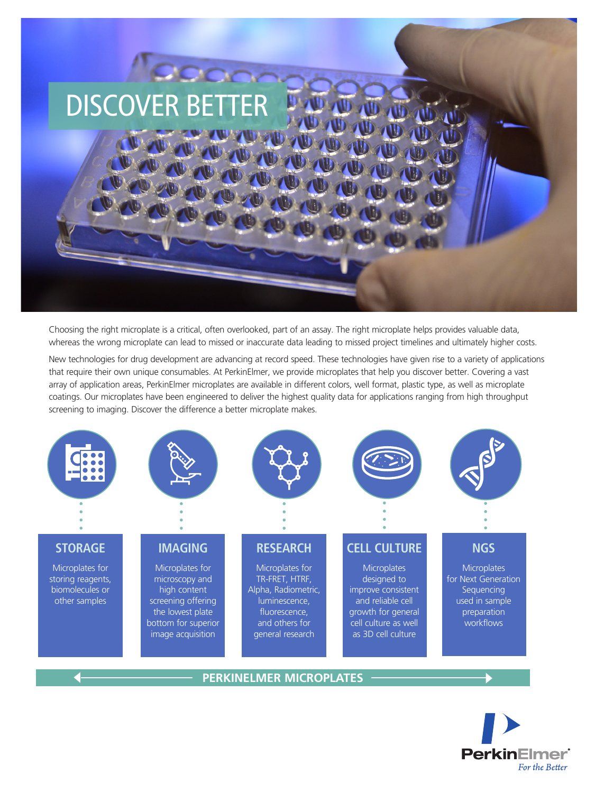

Choosing the right microplate is a critical, often overlooked, part of an assay. The right microplate helps provides valuable data, whereas the wrong microplate can lead to missed or inaccurate data leading to missed project timelines and ultimately higher costs.

New technologies for drug development are advancing at record speed. These technologies have given rise to a variety of applications that require their own unique consumables. At PerkinElmer, we provide microplates that help you discover better. Covering a vast array of application areas, PerkinElmer microplates are available in different colors, well format, plastic type, as well as microplate coatings. Our microplates have been engineered to deliver the highest quality data for applications ranging from high throughput screening to imaging. Discover the difference a better microplate makes.